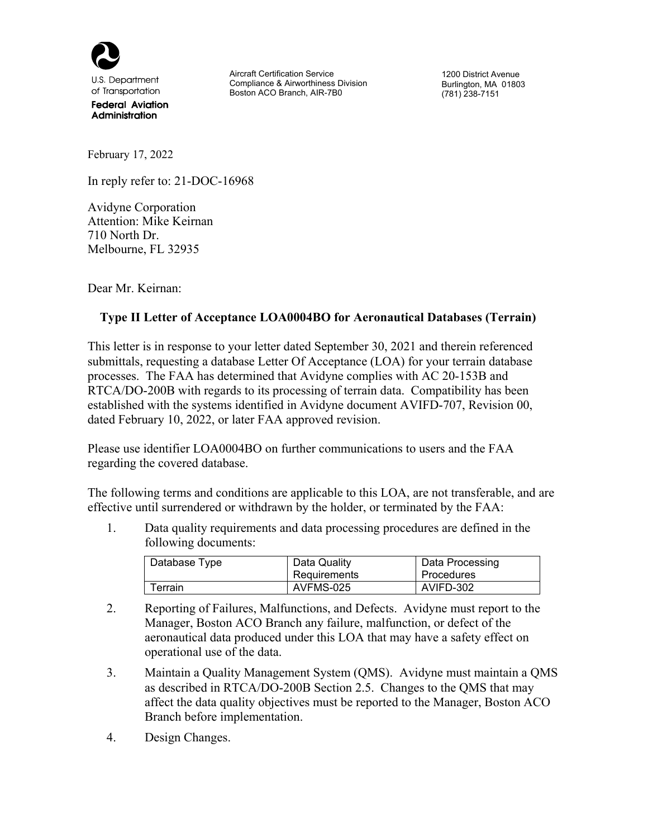

U.S. Department of Transportation

**Federal Aviation** Administration

Aircraft Certification Service Compliance & Airworthiness Division Boston ACO Branch, AIR-7B0

1200 District Avenue Burlington, MA 01803 (781) 238-7151

February 17, 2022

In reply refer to: 21-DOC-16968

Avidyne Corporation Attention: Mike Keirnan 710 North Dr. Melbourne, FL 32935

Dear Mr. Keirnan:

## **Type II Letter of Acceptance LOA0004BO for Aeronautical Databases (Terrain)**

This letter is in response to your letter dated September 30, 2021 and therein referenced submittals, requesting a database Letter Of Acceptance (LOA) for your terrain database processes. The FAA has determined that Avidyne complies with AC 20-153B and RTCA/DO-200B with regards to its processing of terrain data. Compatibility has been established with the systems identified in Avidyne document AVIFD-707, Revision 00, dated February 10, 2022, or later FAA approved revision.

Please use identifier LOA0004BO on further communications to users and the FAA regarding the covered database.

The following terms and conditions are applicable to this LOA, are not transferable, and are effective until surrendered or withdrawn by the holder, or terminated by the FAA:

1. Data quality requirements and data processing procedures are defined in the following documents:

| Database Type  | Data Quality<br>Requirements | Data Processing<br>Procedures |
|----------------|------------------------------|-------------------------------|
| $\tau$ errain. | AVFMS-025                    | AVIFD-302                     |

- 2. Reporting of Failures, Malfunctions, and Defects. Avidyne must report to the Manager, Boston ACO Branch any failure, malfunction, or defect of the aeronautical data produced under this LOA that may have a safety effect on operational use of the data.
- 3. Maintain a Quality Management System (QMS). Avidyne must maintain a QMS as described in RTCA/DO-200B Section 2.5. Changes to the QMS that may affect the data quality objectives must be reported to the Manager, Boston ACO Branch before implementation.
- 4. Design Changes.